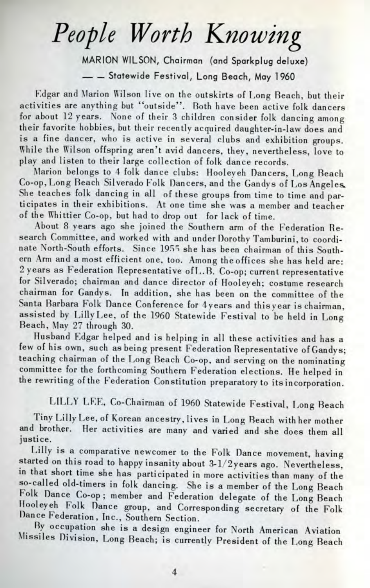## *People Worth Knowing*

MARION WILSON, Chairman (and Sparkplug deluxe)  $-$  Statewide Festival, Long Beach, May 1960

Kdgar and Marion Wilson live on the outskirts of Long Reach, but their activities are anything but "outside". Both have been active folk dancers for about 12 years. None of their 3 children consider folk dancing among their favorite hobbies, but their recently acquired daughter-in-law does and is a fine dancer, who is active in several clubs and exhibition groups. While the Wilson offspring aren't avid dancers, they, nevertheless, love to play and listen to their large collection of folk dance records.

Marion belongs to 4 folk dance clubs: Hooleyeh Dancers, Long Beach Co-op, Long Beach Silverado Folk Dancers, and the Gandys of Los Angeles-She teaches folk dancing in all of these groups from time to time and participates in their exhibitions. At one time she was a member and teacher of the Whittier Co-op, but had to drop out for lack of time.

About 8 years ago she joined the Southern arm of the Federation Research Committee, and worked with and under Dorothy Tamburini, to coordinate North-South efforts. Since 1955 she has been chairman of this Southern Arm and a most efficient one, too. Among the offices she has held are: 2 years as Federation Representative ofL.B. Co-op; current representative for Silverado; chairman and dance director of Hooleyeh; costume research chairman for Gandys. In addition, she has been on the committee of the Santa Barbara Folk Dance Conference for 4years and thisyear is chairman, assisted by Lilly Lee, of the 1960 Statewide Festival to be held in Long Beach, May 27 through 30.

Husband Edgar helped and is helping in all these activities and has a few of his own, such as being present Federation Representative of Gandys; teaching chairman of the Long Beach Co-op, and serving on the nominating committee for the forthcoming Southern Federation elections. He helped in the rewriting of the Federation Constitution preparatory to its incorporation.

LILLY LEE, Co-Chairman of 1960 Statewide Festival, Long Beach

Tiny Lilly Lee, of Korean ancestry, lives in Long Beach with her mother and brother. Her activities are many and varied and she does them all justice.

Lilly is a comparative newcomer to the Folk Dance movement, having started on this road to happy insanity about 3-l/2years ago. Nevertheless, in that short time she has participated in more activities than many of the so-called old-timers in folk dancing. She is a member of the Long Beach Folk Dance Co-op; member and Federation delegate of the Long Beach Hooleyeh Folk Dance group, and Corresponding secretary of the Folk Dance Federation, Inc., Southern Section.

By occupation she is a design engineer for North American Aviation Missiles Division, Long Beach; is currently President of the Long Beach